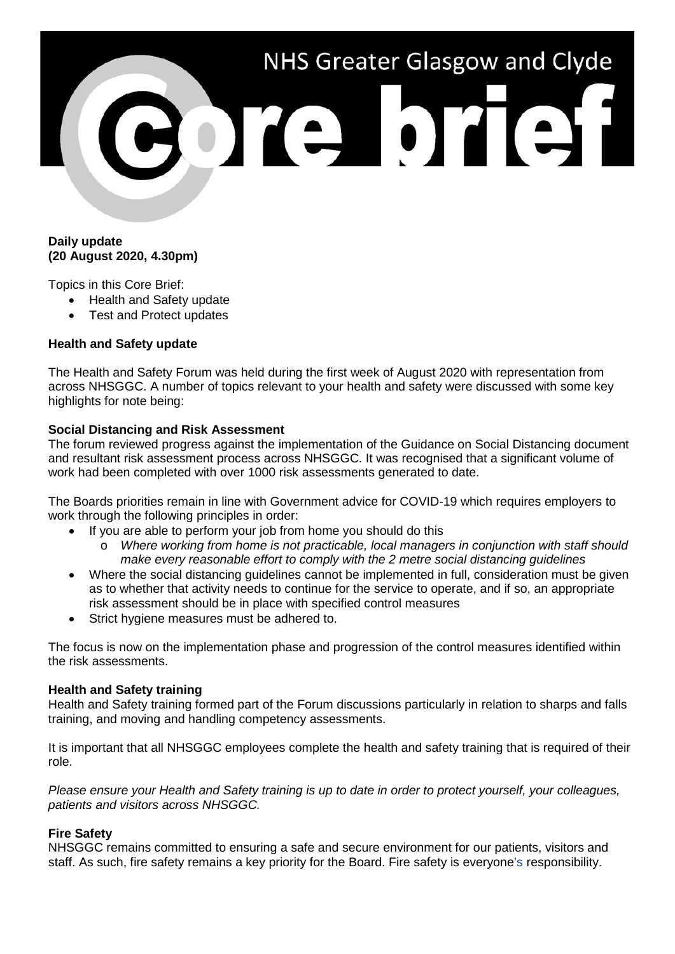

## **Daily update (20 August 2020, 4.30pm)**

Topics in this Core Brief:

- Health and Safety update
- Test and Protect updates

## **Health and Safety update**

The Health and Safety Forum was held during the first week of August 2020 with representation from across NHSGGC. A number of topics relevant to your health and safety were discussed with some key highlights for note being:

### **Social Distancing and Risk Assessment**

The forum reviewed progress against the implementation of the Guidance on Social Distancing document and resultant risk assessment process across NHSGGC. It was recognised that a significant volume of work had been completed with over 1000 risk assessments generated to date.

The Boards priorities remain in line with Government advice for COVID-19 which requires employers to work through the following principles in order:

- If you are able to perform your job from home you should do this
	- o *Where working from home is not practicable, local managers in conjunction with staff should make every reasonable effort to comply with the 2 metre social distancing guidelines*
- Where the social distancing guidelines cannot be implemented in full, consideration must be given as to whether that activity needs to continue for the service to operate, and if so, an appropriate risk assessment should be in place with specified control measures
- Strict hygiene measures must be adhered to.

The focus is now on the implementation phase and progression of the control measures identified within the risk assessments.

#### **Health and Safety training**

Health and Safety training formed part of the Forum discussions particularly in relation to sharps and falls training, and moving and handling competency assessments.

It is important that all NHSGGC employees complete the health and safety training that is required of their role.

*Please ensure your Health and Safety training is up to date in order to protect yourself, your colleagues, patients and visitors across NHSGGC.*

#### **Fire Safety**

NHSGGC remains committed to ensuring a safe and secure environment for our patients, visitors and staff. As such, fire safety remains a key priority for the Board. Fire safety is everyone's responsibility.